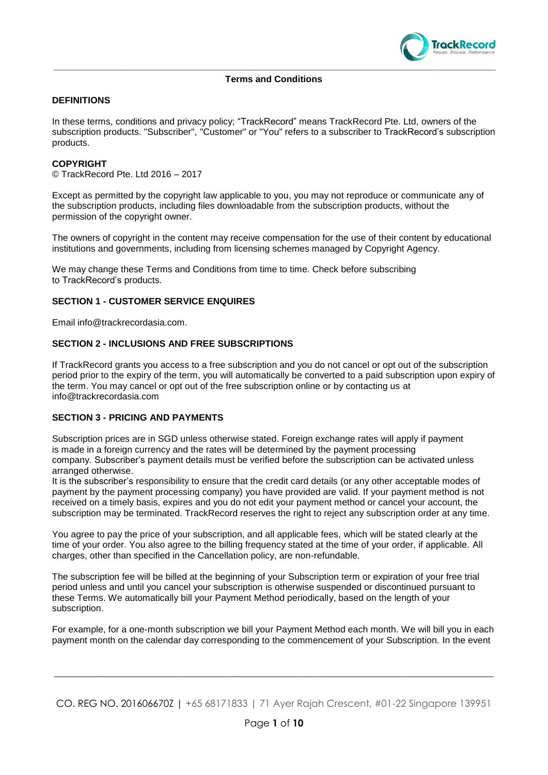

# **Terms and Conditions**

# **DEFINITIONS**

In these terms, conditions and privacy policy; "TrackRecord" means TrackRecord Pte. Ltd, owners of the subscription products. "Subscriber", "Customer" or "You" refers to a subscriber to TrackRecord's subscription products.

#### **COPYRIGHT**

© TrackRecord Pte. Ltd 2016 – 2017

Except as permitted by the copyright law applicable to you, you may not reproduce or communicate any of the subscription products, including files downloadable from the subscription products, without the permission of the copyright owner.

The owners of copyright in the content may receive compensation for the use of their content by educational institutions and governments, including from licensing schemes managed by Copyright Agency.

We may change these Terms and Conditions from time to time. Check before subscribing to TrackRecord's products.

#### **SECTION 1 - CUSTOMER SERVICE ENQUIRES**

Email info@trackrecordasia.com.

#### **SECTION 2 - INCLUSIONS AND FREE SUBSCRIPTIONS**

If TrackRecord grants you access to a free subscription and you do not cancel or opt out of the subscription period prior to the expiry of the term, you will automatically be converted to a paid subscription upon expiry of the term. You may cancel or opt out of the free subscription online or by contacting us at info@trackrecordasia.com

# **SECTION 3 - PRICING AND PAYMENTS**

Subscription prices are in SGD unless otherwise stated. Foreign exchange rates will apply if payment is made in a foreign currency and the rates will be determined by the payment processing company. Subscriber's payment details must be verified before the subscription can be activated unless arranged otherwise.

It is the subscriber's responsibility to ensure that the credit card details (or any other acceptable modes of payment by the payment processing company) you have provided are valid. If your payment method is not received on a timely basis, expires and you do not edit your payment method or cancel your account, the subscription may be terminated. TrackRecord reserves the right to reject any subscription order at any time.

You agree to pay the price of your subscription, and all applicable fees, which will be stated clearly at the time of your order. You also agree to the billing frequency stated at the time of your order, if applicable. All charges, other than specified in the Cancellation policy, are non-refundable.

The subscription fee will be billed at the beginning of your Subscription term or expiration of your free trial period unless and until you cancel your subscription is otherwise suspended or discontinued pursuant to these Terms. We automatically bill your Payment Method periodically, based on the length of your subscription.

For example, for a one-month subscription we bill your Payment Method each month. We will bill you in each payment month on the calendar day corresponding to the commencement of your Subscription. In the event

CO. REG NO. 201606670Z | +65 68171833 | 71 Ayer Rajah Crescent, #01-22 Singapore 139951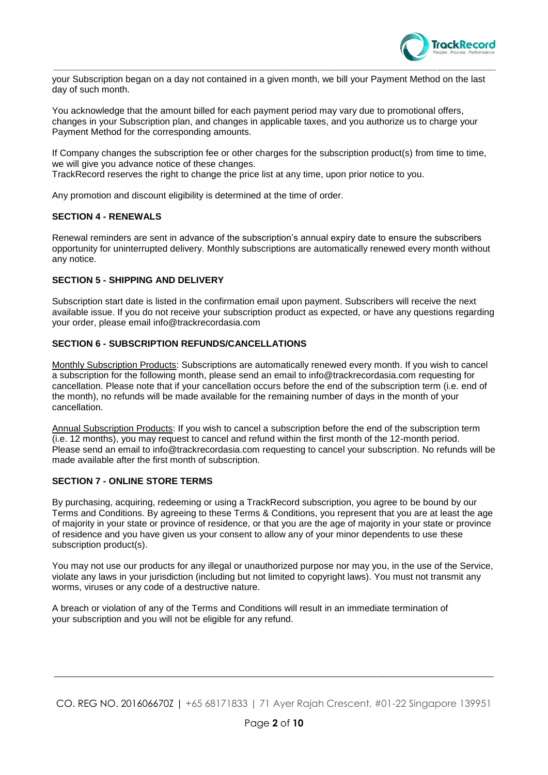

your Subscription began on a day not contained in a given month, we bill your Payment Method on the last day of such month.

\_\_\_\_\_\_\_\_\_\_\_\_\_\_\_\_\_\_\_\_\_\_\_\_\_\_\_\_\_\_\_\_\_\_\_\_\_\_\_\_\_\_\_\_\_\_\_\_\_\_\_\_\_\_\_\_\_\_\_\_\_\_\_\_\_\_\_\_\_\_\_\_\_\_\_\_\_\_\_\_\_\_\_\_\_\_\_\_\_\_\_\_\_\_\_\_\_\_\_\_\_\_\_\_\_\_\_\_\_\_\_\_\_\_\_\_\_\_\_\_\_\_\_\_\_\_\_\_\_\_\_\_\_\_\_\_\_\_\_\_\_\_\_\_

You acknowledge that the amount billed for each payment period may vary due to promotional offers, changes in your Subscription plan, and changes in applicable taxes, and you authorize us to charge your Payment Method for the corresponding amounts.

If Company changes the subscription fee or other charges for the subscription product(s) from time to time, we will give you advance notice of these changes.

TrackRecord reserves the right to change the price list at any time, upon prior notice to you.

Any promotion and discount eligibility is determined at the time of order.

#### **SECTION 4 - RENEWALS**

Renewal reminders are sent in advance of the subscription's annual expiry date to ensure the subscribers opportunity for uninterrupted delivery. Monthly subscriptions are automatically renewed every month without any notice.

#### **SECTION 5 - SHIPPING AND DELIVERY**

Subscription start date is listed in the confirmation email upon payment. Subscribers will receive the next available issue. If you do not receive your subscription product as expected, or have any questions regarding your order, please email info@trackrecordasia.com

#### **SECTION 6 - SUBSCRIPTION REFUNDS/CANCELLATIONS**

Monthly Subscription Products: Subscriptions are automatically renewed every month. If you wish to cancel a subscription for the following month, please send an email to info@trackrecordasia.com requesting for cancellation. Please note that if your cancellation occurs before the end of the subscription term (i.e. end of the month), no refunds will be made available for the remaining number of days in the month of your cancellation.

Annual Subscription Products: If you wish to cancel a subscription before the end of the subscription term (i.e. 12 months), you may request to cancel and refund within the first month of the 12-month period. Please send an email to info@trackrecordasia.com requesting to cancel your subscription. No refunds will be made available after the first month of subscription.

### **SECTION 7 - ONLINE STORE TERMS**

By purchasing, acquiring, redeeming or using a TrackRecord subscription, you agree to be bound by our Terms and Conditions. By agreeing to these Terms & Conditions, you represent that you are at least the age of majority in your state or province of residence, or that you are the age of majority in your state or province of residence and you have given us your consent to allow any of your minor dependents to use these subscription product(s).

You may not use our products for any illegal or unauthorized purpose nor may you, in the use of the Service, violate any laws in your jurisdiction (including but not limited to copyright laws). You must not transmit any worms, viruses or any code of a destructive nature.

A breach or violation of any of the Terms and Conditions will result in an immediate termination of your subscription and you will not be eligible for any refund.

CO. REG NO. 201606670Z | +65 68171833 | 71 Ayer Rajah Crescent, #01-22 Singapore 139951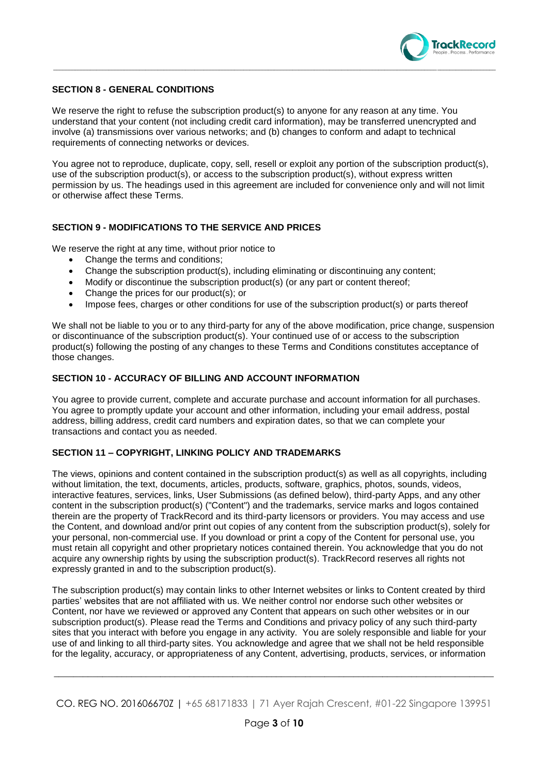

# **SECTION 8 - GENERAL CONDITIONS**

We reserve the right to refuse the subscription product(s) to anyone for any reason at any time. You understand that your content (not including credit card information), may be transferred unencrypted and involve (a) transmissions over various networks; and (b) changes to conform and adapt to technical requirements of connecting networks or devices.

You agree not to reproduce, duplicate, copy, sell, resell or exploit any portion of the subscription product(s), use of the subscription product(s), or access to the subscription product(s), without express written permission by us. The headings used in this agreement are included for convenience only and will not limit or otherwise affect these Terms.

# **SECTION 9 - MODIFICATIONS TO THE SERVICE AND PRICES**

We reserve the right at any time, without prior notice to

- Change the terms and conditions;
- Change the subscription product(s), including eliminating or discontinuing any content;
- Modify or discontinue the subscription product(s) (or any part or content thereof;
- Change the prices for our product(s); or
- Impose fees, charges or other conditions for use of the subscription product(s) or parts thereof

We shall not be liable to you or to any third-party for any of the above modification, price change, suspension or discontinuance of the subscription product(s). Your continued use of or access to the subscription product(s) following the posting of any changes to these Terms and Conditions constitutes acceptance of those changes.

# **SECTION 10 - ACCURACY OF BILLING AND ACCOUNT INFORMATION**

You agree to provide current, complete and accurate purchase and account information for all purchases. You agree to promptly update your account and other information, including your email address, postal address, billing address, credit card numbers and expiration dates, so that we can complete your transactions and contact you as needed.

# **SECTION 11 – COPYRIGHT, LINKING POLICY AND TRADEMARKS**

The views, opinions and content contained in the subscription product(s) as well as all copyrights, including without limitation, the text, documents, articles, products, software, graphics, photos, sounds, videos, interactive features, services, links, User Submissions (as defined below), third-party Apps, and any other content in the subscription product(s) ("Content") and the trademarks, service marks and logos contained therein are the property of TrackRecord and its third-party licensors or providers. You may access and use the Content, and download and/or print out copies of any content from the subscription product(s), solely for your personal, non-commercial use. If you download or print a copy of the Content for personal use, you must retain all copyright and other proprietary notices contained therein. You acknowledge that you do not acquire any ownership rights by using the subscription product(s). TrackRecord reserves all rights not expressly granted in and to the subscription product(s).

The subscription product(s) may contain links to other Internet websites or links to Content created by third parties' websites that are not affiliated with us. We neither control nor endorse such other websites or Content, nor have we reviewed or approved any Content that appears on such other websites or in our subscription product(s). Please read the Terms and Conditions and privacy policy of any such third-party sites that you interact with before you engage in any activity. You are solely responsible and liable for your use of and linking to all third-party sites. You acknowledge and agree that we shall not be held responsible for the legality, accuracy, or appropriateness of any Content, advertising, products, services, or information

CO. REG NO. 201606670Z | +65 68171833 | 71 Ayer Rajah Crescent, #01-22 Singapore 139951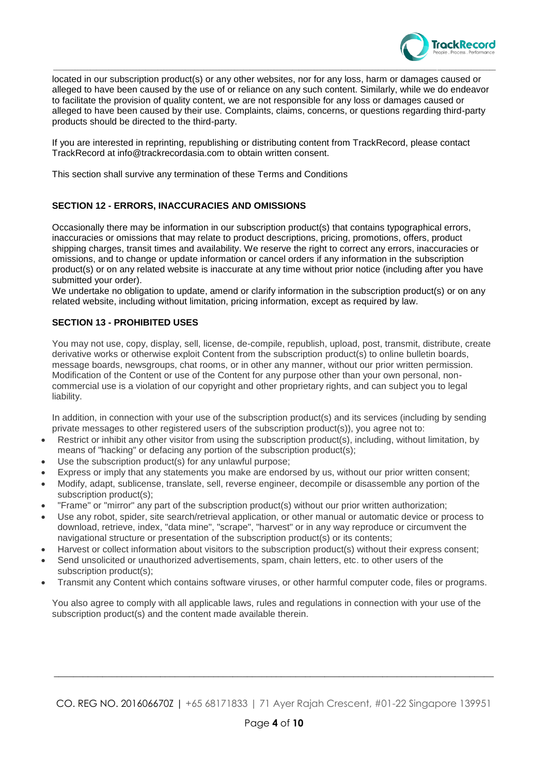

located in our subscription product(s) or any other websites, nor for any loss, harm or damages caused or alleged to have been caused by the use of or reliance on any such content. Similarly, while we do endeavor to facilitate the provision of quality content, we are not responsible for any loss or damages caused or alleged to have been caused by their use. Complaints, claims, concerns, or questions regarding third-party products should be directed to the third-party.

\_\_\_\_\_\_\_\_\_\_\_\_\_\_\_\_\_\_\_\_\_\_\_\_\_\_\_\_\_\_\_\_\_\_\_\_\_\_\_\_\_\_\_\_\_\_\_\_\_\_\_\_\_\_\_\_\_\_\_\_\_\_\_\_\_\_\_\_\_\_\_\_\_\_\_\_\_\_\_\_\_\_\_\_\_\_\_\_\_\_\_\_\_\_\_\_\_\_\_\_\_\_\_\_\_\_\_\_\_\_\_\_\_\_\_\_\_\_\_\_\_\_\_\_\_\_\_\_\_\_\_\_\_\_\_\_\_\_\_\_\_\_\_\_

If you are interested in reprinting, republishing or distributing content from TrackRecord, please contact TrackRecord at info@trackrecordasia.com to obtain written consent.

This section shall survive any termination of these Terms and Conditions

# **SECTION 12 - ERRORS, INACCURACIES AND OMISSIONS**

Occasionally there may be information in our subscription product(s) that contains typographical errors, inaccuracies or omissions that may relate to product descriptions, pricing, promotions, offers, product shipping charges, transit times and availability. We reserve the right to correct any errors, inaccuracies or omissions, and to change or update information or cancel orders if any information in the subscription product(s) or on any related website is inaccurate at any time without prior notice (including after you have submitted your order).

We undertake no obligation to update, amend or clarify information in the subscription product(s) or on any related website, including without limitation, pricing information, except as required by law.

# **SECTION 13 - PROHIBITED USES**

You may not use, copy, display, sell, license, de-compile, republish, upload, post, transmit, distribute, create derivative works or otherwise exploit Content from the subscription product(s) to online bulletin boards, message boards, newsgroups, chat rooms, or in other any manner, without our prior written permission. Modification of the Content or use of the Content for any purpose other than your own personal, noncommercial use is a violation of our copyright and other proprietary rights, and can subject you to legal liability.

In addition, in connection with your use of the subscription product(s) and its services (including by sending private messages to other registered users of the subscription product(s)), you agree not to:

- Restrict or inhibit any other visitor from using the subscription product(s), including, without limitation, by means of "hacking" or defacing any portion of the subscription product(s);
- Use the subscription product(s) for any unlawful purpose;
- Express or imply that any statements you make are endorsed by us, without our prior written consent;
- Modify, adapt, sublicense, translate, sell, reverse engineer, decompile or disassemble any portion of the subscription product(s);
- "Frame" or "mirror" any part of the subscription product(s) without our prior written authorization;
- Use any robot, spider, site search/retrieval application, or other manual or automatic device or process to download, retrieve, index, "data mine", "scrape", "harvest" or in any way reproduce or circumvent the navigational structure or presentation of the subscription product(s) or its contents;
- Harvest or collect information about visitors to the subscription product(s) without their express consent;
- Send unsolicited or unauthorized advertisements, spam, chain letters, etc. to other users of the subscription product(s):
- Transmit any Content which contains software viruses, or other harmful computer code, files or programs.

You also agree to comply with all applicable laws, rules and regulations in connection with your use of the subscription product(s) and the content made available therein.

CO. REG NO. 201606670Z | +65 68171833 | 71 Ayer Rajah Crescent, #01-22 Singapore 139951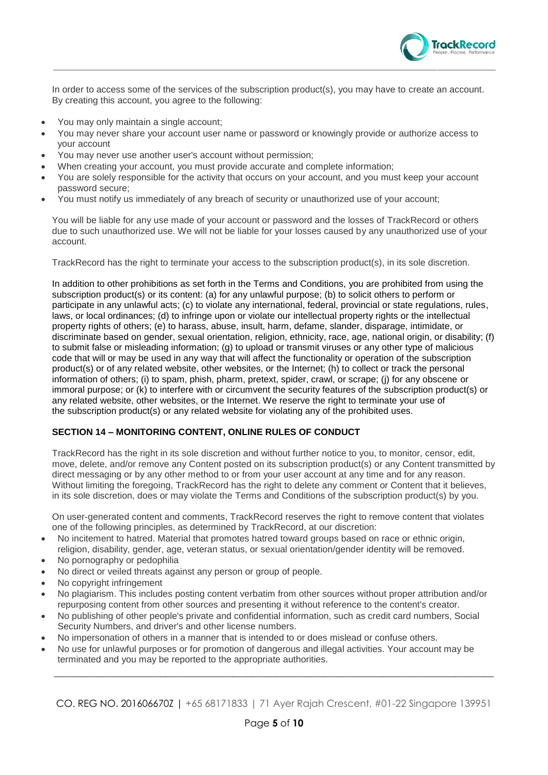

In order to access some of the services of the subscription product(s), you may have to create an account. By creating this account, you agree to the following:

- You may only maintain a single account;
- You may never share your account user name or password or knowingly provide or authorize access to your account
- You may never use another user's account without permission;
- When creating your account, you must provide accurate and complete information;
- You are solely responsible for the activity that occurs on your account, and you must keep your account password secure;
- You must notify us immediately of any breach of security or unauthorized use of your account;

You will be liable for any use made of your account or password and the losses of TrackRecord or others due to such unauthorized use. We will not be liable for your losses caused by any unauthorized use of your account.

TrackRecord has the right to terminate your access to the subscription product(s), in its sole discretion.

In addition to other prohibitions as set forth in the Terms and Conditions, you are prohibited from using the subscription product(s) or its content: (a) for any unlawful purpose; (b) to solicit others to perform or participate in any unlawful acts; (c) to violate any international, federal, provincial or state regulations, rules, laws, or local ordinances; (d) to infringe upon or violate our intellectual property rights or the intellectual property rights of others; (e) to harass, abuse, insult, harm, defame, slander, disparage, intimidate, or discriminate based on gender, sexual orientation, religion, ethnicity, race, age, national origin, or disability; (f) to submit false or misleading information; (g) to upload or transmit viruses or any other type of malicious code that will or may be used in any way that will affect the functionality or operation of the subscription product(s) or of any related website, other websites, or the Internet; (h) to collect or track the personal information of others; (i) to spam, phish, pharm, pretext, spider, crawl, or scrape; (j) for any obscene or immoral purpose; or (k) to interfere with or circumvent the security features of the subscription product(s) or any related website, other websites, or the Internet. We reserve the right to terminate your use of the subscription product(s) or any related website for violating any of the prohibited uses.

# **SECTION 14 – MONITORING CONTENT, ONLINE RULES OF CONDUCT**

TrackRecord has the right in its sole discretion and without further notice to you, to monitor, censor, edit, move, delete, and/or remove any Content posted on its subscription product(s) or any Content transmitted by direct messaging or by any other method to or from your user account at any time and for any reason. Without limiting the foregoing, TrackRecord has the right to delete any comment or Content that it believes, in its sole discretion, does or may violate the Terms and Conditions of the subscription product(s) by you.

On user-generated content and comments, TrackRecord reserves the right to remove content that violates one of the following principles, as determined by TrackRecord, at our discretion:

- No incitement to hatred. Material that promotes hatred toward groups based on race or ethnic origin, religion, disability, gender, age, veteran status, or sexual orientation/gender identity will be removed.
- No pornography or pedophilia
- No direct or veiled threats against any person or group of people.
- No copyright infringement
- No plagiarism. This includes posting content verbatim from other sources without proper attribution and/or repurposing content from other sources and presenting it without reference to the content's creator.
- No publishing of other people's private and confidential information, such as credit card numbers, Social Security Numbers, and driver's and other license numbers.
- No impersonation of others in a manner that is intended to or does mislead or confuse others.
- No use for unlawful purposes or for promotion of dangerous and illegal activities. Your account may be terminated and you may be reported to the appropriate authorities.

CO. REG NO. 201606670Z | +65 68171833 | 71 Ayer Rajah Crescent, #01-22 Singapore 139951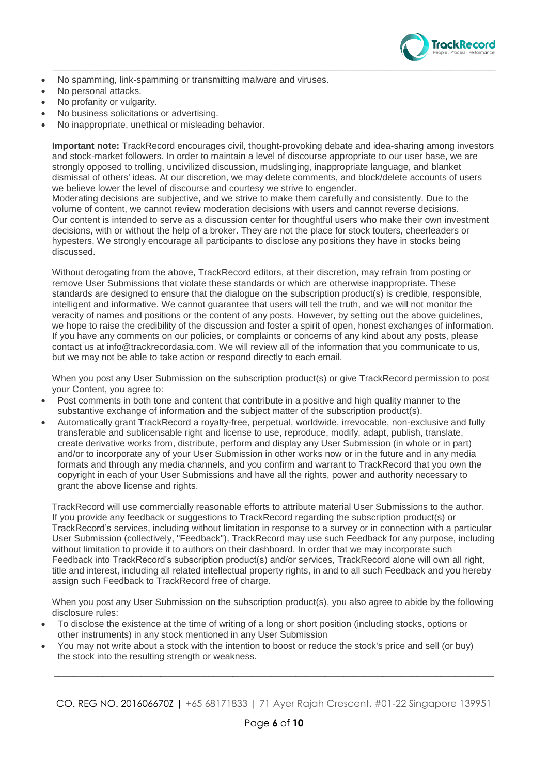

- No spamming, link-spamming or transmitting malware and viruses.
- No personal attacks.
- No profanity or vulgarity.
- No business solicitations or advertising.
- No inappropriate, unethical or misleading behavior.

**Important note:** TrackRecord encourages civil, thought-provoking debate and idea-sharing among investors and stock-market followers. In order to maintain a level of discourse appropriate to our user base, we are strongly opposed to trolling, uncivilized discussion, mudslinging, inappropriate language, and blanket dismissal of others' ideas. At our discretion, we may delete comments, and block/delete accounts of users we believe lower the level of discourse and courtesy we strive to engender.

\_\_\_\_\_\_\_\_\_\_\_\_\_\_\_\_\_\_\_\_\_\_\_\_\_\_\_\_\_\_\_\_\_\_\_\_\_\_\_\_\_\_\_\_\_\_\_\_\_\_\_\_\_\_\_\_\_\_\_\_\_\_\_\_\_\_\_\_\_\_\_\_\_\_\_\_\_\_\_\_\_\_\_\_\_\_\_\_\_\_\_\_\_\_\_\_\_\_\_\_\_\_\_\_\_\_\_\_\_\_\_\_\_\_\_\_\_\_\_\_\_\_\_\_\_\_\_\_\_\_\_\_\_\_\_\_\_\_\_\_\_\_\_\_

Moderating decisions are subjective, and we strive to make them carefully and consistently. Due to the volume of content, we cannot review moderation decisions with users and cannot reverse decisions. Our content is intended to serve as a discussion center for thoughtful users who make their own investment decisions, with or without the help of a broker. They are not the place for stock touters, cheerleaders or hypesters. We strongly encourage all participants to disclose any positions they have in stocks being discussed.

Without derogating from the above, TrackRecord editors, at their discretion, may refrain from posting or remove User Submissions that violate these standards or which are otherwise inappropriate. These standards are designed to ensure that the dialogue on the subscription product(s) is credible, responsible, intelligent and informative. We cannot guarantee that users will tell the truth, and we will not monitor the veracity of names and positions or the content of any posts. However, by setting out the above guidelines, we hope to raise the credibility of the discussion and foster a spirit of open, honest exchanges of information. If you have any comments on our policies, or complaints or concerns of any kind about any posts, please contact us at info@trackrecordasia.com. We will review all of the information that you communicate to us, but we may not be able to take action or respond directly to each email.

When you post any User Submission on the subscription product(s) or give TrackRecord permission to post your Content, you agree to:

- Post comments in both tone and content that contribute in a positive and high quality manner to the substantive exchange of information and the subject matter of the subscription product(s).
- Automatically grant TrackRecord a royalty-free, perpetual, worldwide, irrevocable, non-exclusive and fully transferable and sublicensable right and license to use, reproduce, modify, adapt, publish, translate, create derivative works from, distribute, perform and display any User Submission (in whole or in part) and/or to incorporate any of your User Submission in other works now or in the future and in any media formats and through any media channels, and you confirm and warrant to TrackRecord that you own the copyright in each of your User Submissions and have all the rights, power and authority necessary to grant the above license and rights.

TrackRecord will use commercially reasonable efforts to attribute material User Submissions to the author. If you provide any feedback or suggestions to TrackRecord regarding the subscription product(s) or TrackRecord's services, including without limitation in response to a survey or in connection with a particular User Submission (collectively, "Feedback"), TrackRecord may use such Feedback for any purpose, including without limitation to provide it to authors on their dashboard. In order that we may incorporate such Feedback into TrackRecord's subscription product(s) and/or services, TrackRecord alone will own all right, title and interest, including all related intellectual property rights, in and to all such Feedback and you hereby assign such Feedback to TrackRecord free of charge.

When you post any User Submission on the subscription product(s), you also agree to abide by the following disclosure rules:

- To disclose the existence at the time of writing of a long or short position (including stocks, options or other instruments) in any stock mentioned in any User Submission
- You may not write about a stock with the intention to boost or reduce the stock's price and sell (or buy) the stock into the resulting strength or weakness.

CO. REG NO. 201606670Z | +65 68171833 | 71 Ayer Rajah Crescent, #01-22 Singapore 139951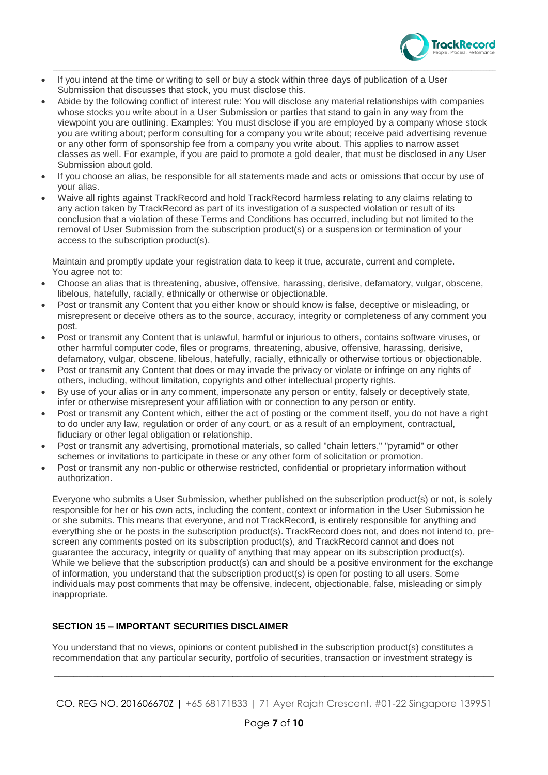

- If you intend at the time or writing to sell or buy a stock within three days of publication of a User Submission that discusses that stock, you must disclose this.
- Abide by the following conflict of interest rule: You will disclose any material relationships with companies whose stocks you write about in a User Submission or parties that stand to gain in any way from the viewpoint you are outlining. Examples: You must disclose if you are employed by a company whose stock you are writing about; perform consulting for a company you write about; receive paid advertising revenue or any other form of sponsorship fee from a company you write about. This applies to narrow asset classes as well. For example, if you are paid to promote a gold dealer, that must be disclosed in any User Submission about gold.

\_\_\_\_\_\_\_\_\_\_\_\_\_\_\_\_\_\_\_\_\_\_\_\_\_\_\_\_\_\_\_\_\_\_\_\_\_\_\_\_\_\_\_\_\_\_\_\_\_\_\_\_\_\_\_\_\_\_\_\_\_\_\_\_\_\_\_\_\_\_\_\_\_\_\_\_\_\_\_\_\_\_\_\_\_\_\_\_\_\_\_\_\_\_\_\_\_\_\_\_\_\_\_\_\_\_\_\_\_\_\_\_\_\_\_\_\_\_\_\_\_\_\_\_\_\_\_\_\_\_\_\_\_\_\_\_\_\_\_\_\_\_\_\_

- If you choose an alias, be responsible for all statements made and acts or omissions that occur by use of your alias.
- Waive all rights against TrackRecord and hold TrackRecord harmless relating to any claims relating to any action taken by TrackRecord as part of its investigation of a suspected violation or result of its conclusion that a violation of these Terms and Conditions has occurred, including but not limited to the removal of User Submission from the subscription product(s) or a suspension or termination of your access to the subscription product(s).

Maintain and promptly update your registration data to keep it true, accurate, current and complete. You agree not to:

- Choose an alias that is threatening, abusive, offensive, harassing, derisive, defamatory, vulgar, obscene, libelous, hatefully, racially, ethnically or otherwise or objectionable.
- Post or transmit any Content that you either know or should know is false, deceptive or misleading, or misrepresent or deceive others as to the source, accuracy, integrity or completeness of any comment you post.
- Post or transmit any Content that is unlawful, harmful or injurious to others, contains software viruses, or other harmful computer code, files or programs, threatening, abusive, offensive, harassing, derisive, defamatory, vulgar, obscene, libelous, hatefully, racially, ethnically or otherwise tortious or objectionable.
- Post or transmit any Content that does or may invade the privacy or violate or infringe on any rights of others, including, without limitation, copyrights and other intellectual property rights.
- By use of your alias or in any comment, impersonate any person or entity, falsely or deceptively state, infer or otherwise misrepresent your affiliation with or connection to any person or entity.
- Post or transmit any Content which, either the act of posting or the comment itself, you do not have a right to do under any law, regulation or order of any court, or as a result of an employment, contractual, fiduciary or other legal obligation or relationship.
- Post or transmit any advertising, promotional materials, so called "chain letters," "pyramid" or other schemes or invitations to participate in these or any other form of solicitation or promotion.
- Post or transmit any non-public or otherwise restricted, confidential or proprietary information without authorization.

Everyone who submits a User Submission, whether published on the subscription product(s) or not, is solely responsible for her or his own acts, including the content, context or information in the User Submission he or she submits. This means that everyone, and not TrackRecord, is entirely responsible for anything and everything she or he posts in the subscription product(s). TrackRecord does not, and does not intend to, prescreen any comments posted on its subscription product(s), and TrackRecord cannot and does not guarantee the accuracy, integrity or quality of anything that may appear on its subscription product(s). While we believe that the subscription product(s) can and should be a positive environment for the exchange of information, you understand that the subscription product(s) is open for posting to all users. Some individuals may post comments that may be offensive, indecent, objectionable, false, misleading or simply inappropriate.

# **SECTION 15 – IMPORTANT SECURITIES DISCLAIMER**

You understand that no views, opinions or content published in the subscription product(s) constitutes a recommendation that any particular security, portfolio of securities, transaction or investment strategy is

CO. REG NO. 201606670Z | +65 68171833 | 71 Ayer Rajah Crescent, #01-22 Singapore 139951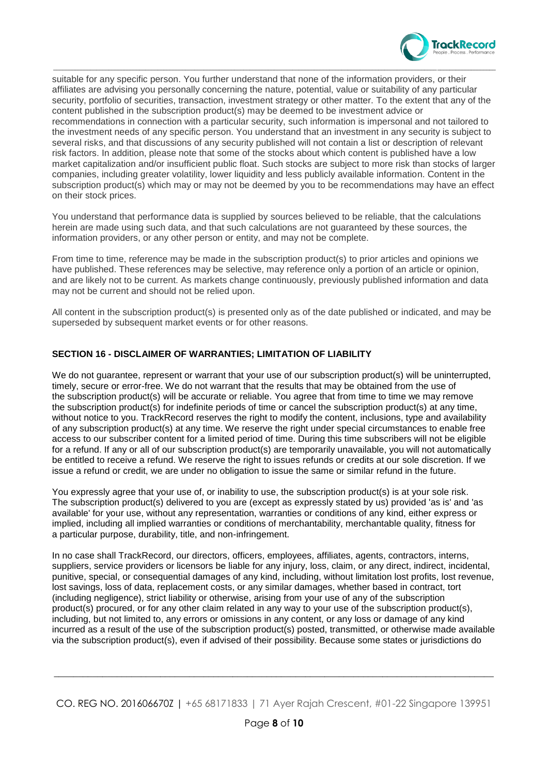

suitable for any specific person. You further understand that none of the information providers, or their affiliates are advising you personally concerning the nature, potential, value or suitability of any particular security, portfolio of securities, transaction, investment strategy or other matter. To the extent that any of the content published in the subscription product(s) may be deemed to be investment advice or recommendations in connection with a particular security, such information is impersonal and not tailored to the investment needs of any specific person. You understand that an investment in any security is subject to several risks, and that discussions of any security published will not contain a list or description of relevant risk factors. In addition, please note that some of the stocks about which content is published have a low market capitalization and/or insufficient public float. Such stocks are subject to more risk than stocks of larger companies, including greater volatility, lower liquidity and less publicly available information. Content in the subscription product(s) which may or may not be deemed by you to be recommendations may have an effect on their stock prices.

\_\_\_\_\_\_\_\_\_\_\_\_\_\_\_\_\_\_\_\_\_\_\_\_\_\_\_\_\_\_\_\_\_\_\_\_\_\_\_\_\_\_\_\_\_\_\_\_\_\_\_\_\_\_\_\_\_\_\_\_\_\_\_\_\_\_\_\_\_\_\_\_\_\_\_\_\_\_\_\_\_\_\_\_\_\_\_\_\_\_\_\_\_\_\_\_\_\_\_\_\_\_\_\_\_\_\_\_\_\_\_\_\_\_\_\_\_\_\_\_\_\_\_\_\_\_\_\_\_\_\_\_\_\_\_\_\_\_\_\_\_\_\_\_

You understand that performance data is supplied by sources believed to be reliable, that the calculations herein are made using such data, and that such calculations are not guaranteed by these sources, the information providers, or any other person or entity, and may not be complete.

From time to time, reference may be made in the subscription product(s) to prior articles and opinions we have published. These references may be selective, may reference only a portion of an article or opinion, and are likely not to be current. As markets change continuously, previously published information and data may not be current and should not be relied upon.

All content in the subscription product(s) is presented only as of the date published or indicated, and may be superseded by subsequent market events or for other reasons.

# **SECTION 16 - DISCLAIMER OF WARRANTIES; LIMITATION OF LIABILITY**

We do not quarantee, represent or warrant that your use of our subscription product(s) will be uninterrupted, timely, secure or error-free. We do not warrant that the results that may be obtained from the use of the subscription product(s) will be accurate or reliable. You agree that from time to time we may remove the subscription product(s) for indefinite periods of time or cancel the subscription product(s) at any time, without notice to you. TrackRecord reserves the right to modify the content, inclusions, type and availability of any subscription product(s) at any time. We reserve the right under special circumstances to enable free access to our subscriber content for a limited period of time. During this time subscribers will not be eligible for a refund. If any or all of our subscription product(s) are temporarily unavailable, you will not automatically be entitled to receive a refund. We reserve the right to issues refunds or credits at our sole discretion. If we issue a refund or credit, we are under no obligation to issue the same or similar refund in the future.

You expressly agree that your use of, or inability to use, the subscription product(s) is at your sole risk. The subscription product(s) delivered to you are (except as expressly stated by us) provided 'as is' and 'as available' for your use, without any representation, warranties or conditions of any kind, either express or implied, including all implied warranties or conditions of merchantability, merchantable quality, fitness for a particular purpose, durability, title, and non-infringement.

In no case shall TrackRecord, our directors, officers, employees, affiliates, agents, contractors, interns, suppliers, service providers or licensors be liable for any injury, loss, claim, or any direct, indirect, incidental, punitive, special, or consequential damages of any kind, including, without limitation lost profits, lost revenue, lost savings, loss of data, replacement costs, or any similar damages, whether based in contract, tort (including negligence), strict liability or otherwise, arising from your use of any of the subscription product(s) procured, or for any other claim related in any way to your use of the subscription product(s), including, but not limited to, any errors or omissions in any content, or any loss or damage of any kind incurred as a result of the use of the subscription product(s) posted, transmitted, or otherwise made available via the subscription product(s), even if advised of their possibility. Because some states or jurisdictions do

CO. REG NO. 201606670Z | +65 68171833 | 71 Ayer Rajah Crescent, #01-22 Singapore 139951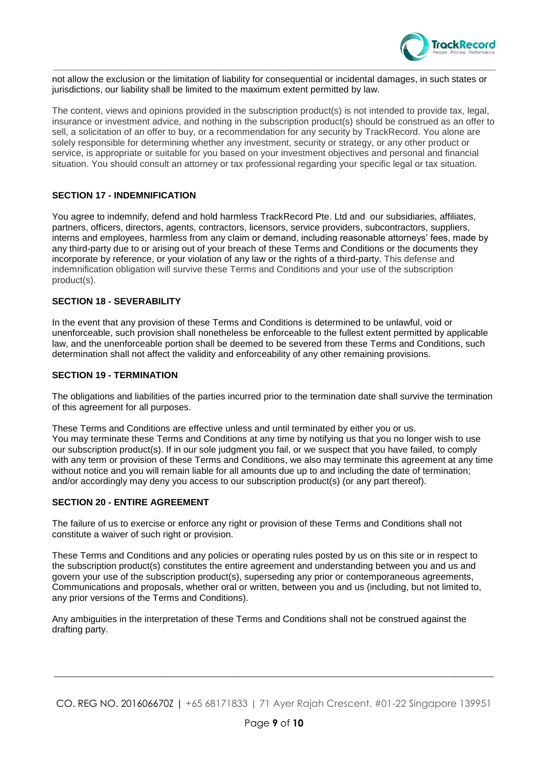

not allow the exclusion or the limitation of liability for consequential or incidental damages, in such states or jurisdictions, our liability shall be limited to the maximum extent permitted by law.

\_\_\_\_\_\_\_\_\_\_\_\_\_\_\_\_\_\_\_\_\_\_\_\_\_\_\_\_\_\_\_\_\_\_\_\_\_\_\_\_\_\_\_\_\_\_\_\_\_\_\_\_\_\_\_\_\_\_\_\_\_\_\_\_\_\_\_\_\_\_\_\_\_\_\_\_\_\_\_\_\_\_\_\_\_\_\_\_\_\_\_\_\_\_\_\_\_\_\_\_\_\_\_\_\_\_\_\_\_\_\_\_\_\_\_\_\_\_\_\_\_\_\_\_\_\_\_\_\_\_\_\_\_\_\_\_\_\_\_\_\_\_\_\_

The content, views and opinions provided in the subscription product(s) is not intended to provide tax, legal, insurance or investment advice, and nothing in the subscription product(s) should be construed as an offer to sell, a solicitation of an offer to buy, or a recommendation for any security by TrackRecord. You alone are solely responsible for determining whether any investment, security or strategy, or any other product or service, is appropriate or suitable for you based on your investment objectives and personal and financial situation. You should consult an attorney or tax professional regarding your specific legal or tax situation.

### **SECTION 17 - INDEMNIFICATION**

You agree to indemnify, defend and hold harmless TrackRecord Pte. Ltd and our subsidiaries, affiliates, partners, officers, directors, agents, contractors, licensors, service providers, subcontractors, suppliers, interns and employees, harmless from any claim or demand, including reasonable attorneys' fees, made by any third-party due to or arising out of your breach of these Terms and Conditions or the documents they incorporate by reference, or your violation of any law or the rights of a third-party. This defense and indemnification obligation will survive these Terms and Conditions and your use of the subscription product(s).

#### **SECTION 18 - SEVERABILITY**

In the event that any provision of these Terms and Conditions is determined to be unlawful, void or unenforceable, such provision shall nonetheless be enforceable to the fullest extent permitted by applicable law, and the unenforceable portion shall be deemed to be severed from these Terms and Conditions, such determination shall not affect the validity and enforceability of any other remaining provisions.

#### **SECTION 19 - TERMINATION**

The obligations and liabilities of the parties incurred prior to the termination date shall survive the termination of this agreement for all purposes.

These Terms and Conditions are effective unless and until terminated by either you or us. You may terminate these Terms and Conditions at any time by notifying us that you no longer wish to use our subscription product(s). If in our sole judgment you fail, or we suspect that you have failed, to comply with any term or provision of these Terms and Conditions, we also may terminate this agreement at any time without notice and you will remain liable for all amounts due up to and including the date of termination: and/or accordingly may deny you access to our subscription product(s) (or any part thereof).

#### **SECTION 20 - ENTIRE AGREEMENT**

The failure of us to exercise or enforce any right or provision of these Terms and Conditions shall not constitute a waiver of such right or provision.

These Terms and Conditions and any policies or operating rules posted by us on this site or in respect to the subscription product(s) constitutes the entire agreement and understanding between you and us and govern your use of the subscription product(s), superseding any prior or contemporaneous agreements, Communications and proposals, whether oral or written, between you and us (including, but not limited to, any prior versions of the Terms and Conditions).

Any ambiguities in the interpretation of these Terms and Conditions shall not be construed against the drafting party.

CO. REG NO. 201606670Z | +65 68171833 | 71 Ayer Rajah Crescent, #01-22 Singapore 139951